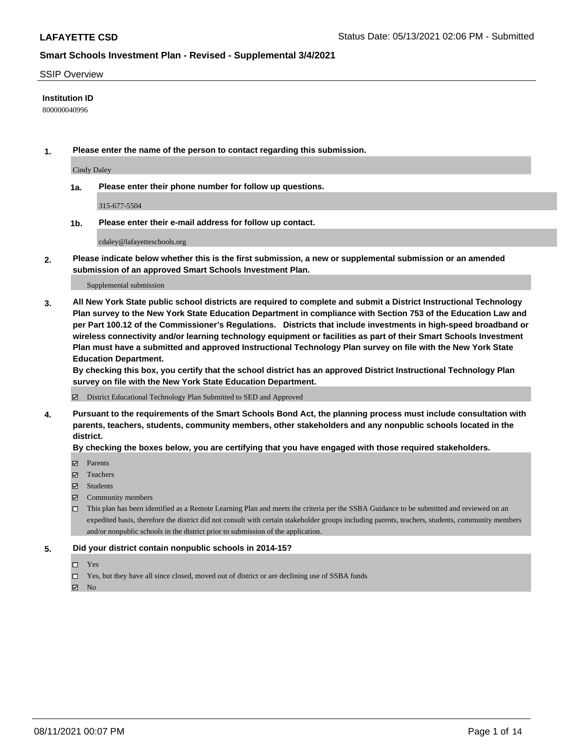#### SSIP Overview

### **Institution ID**

800000040996

**1. Please enter the name of the person to contact regarding this submission.**

Cindy Daley

**1a. Please enter their phone number for follow up questions.**

315-677-5504

**1b. Please enter their e-mail address for follow up contact.**

cdaley@lafayetteschools.org

**2. Please indicate below whether this is the first submission, a new or supplemental submission or an amended submission of an approved Smart Schools Investment Plan.**

#### Supplemental submission

**3. All New York State public school districts are required to complete and submit a District Instructional Technology Plan survey to the New York State Education Department in compliance with Section 753 of the Education Law and per Part 100.12 of the Commissioner's Regulations. Districts that include investments in high-speed broadband or wireless connectivity and/or learning technology equipment or facilities as part of their Smart Schools Investment Plan must have a submitted and approved Instructional Technology Plan survey on file with the New York State Education Department.** 

**By checking this box, you certify that the school district has an approved District Instructional Technology Plan survey on file with the New York State Education Department.**

District Educational Technology Plan Submitted to SED and Approved

**4. Pursuant to the requirements of the Smart Schools Bond Act, the planning process must include consultation with parents, teachers, students, community members, other stakeholders and any nonpublic schools located in the district.** 

### **By checking the boxes below, you are certifying that you have engaged with those required stakeholders.**

- **Parents**
- Teachers
- Students
- $\boxtimes$  Community members
- This plan has been identified as a Remote Learning Plan and meets the criteria per the SSBA Guidance to be submitted and reviewed on an expedited basis, therefore the district did not consult with certain stakeholder groups including parents, teachers, students, community members and/or nonpublic schools in the district prior to submission of the application.
- **5. Did your district contain nonpublic schools in 2014-15?**
	- □ Yes
	- □ Yes, but they have all since closed, moved out of district or are declining use of SSBA funds

 $M$  No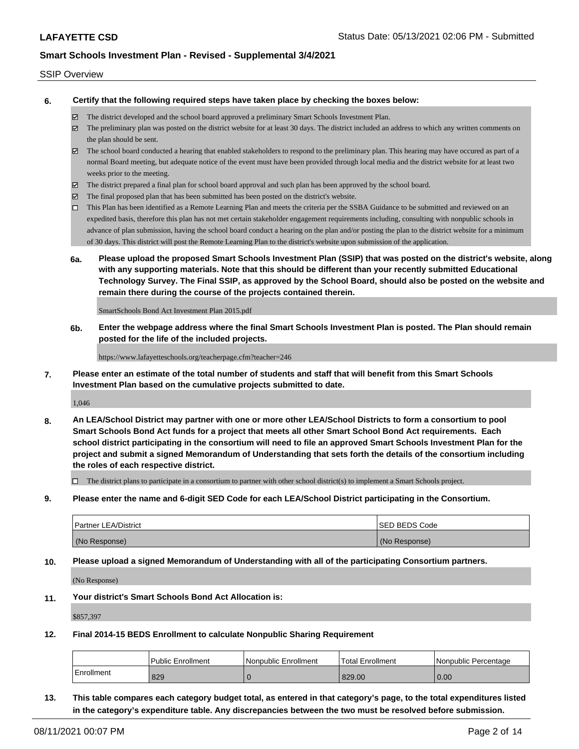### SSIP Overview

**6. Certify that the following required steps have taken place by checking the boxes below:**

- The district developed and the school board approved a preliminary Smart Schools Investment Plan.
- The preliminary plan was posted on the district website for at least 30 days. The district included an address to which any written comments on the plan should be sent.
- $\boxtimes$  The school board conducted a hearing that enabled stakeholders to respond to the preliminary plan. This hearing may have occured as part of a normal Board meeting, but adequate notice of the event must have been provided through local media and the district website for at least two weeks prior to the meeting.
- The district prepared a final plan for school board approval and such plan has been approved by the school board.
- $\boxtimes$  The final proposed plan that has been submitted has been posted on the district's website.
- This Plan has been identified as a Remote Learning Plan and meets the criteria per the SSBA Guidance to be submitted and reviewed on an expedited basis, therefore this plan has not met certain stakeholder engagement requirements including, consulting with nonpublic schools in advance of plan submission, having the school board conduct a hearing on the plan and/or posting the plan to the district website for a minimum of 30 days. This district will post the Remote Learning Plan to the district's website upon submission of the application.
- **6a. Please upload the proposed Smart Schools Investment Plan (SSIP) that was posted on the district's website, along with any supporting materials. Note that this should be different than your recently submitted Educational Technology Survey. The Final SSIP, as approved by the School Board, should also be posted on the website and remain there during the course of the projects contained therein.**

SmartSchools Bond Act Investment Plan 2015.pdf

**6b. Enter the webpage address where the final Smart Schools Investment Plan is posted. The Plan should remain posted for the life of the included projects.**

https://www.lafayetteschools.org/teacherpage.cfm?teacher=246

**7. Please enter an estimate of the total number of students and staff that will benefit from this Smart Schools Investment Plan based on the cumulative projects submitted to date.**

1,046

**8. An LEA/School District may partner with one or more other LEA/School Districts to form a consortium to pool Smart Schools Bond Act funds for a project that meets all other Smart School Bond Act requirements. Each school district participating in the consortium will need to file an approved Smart Schools Investment Plan for the project and submit a signed Memorandum of Understanding that sets forth the details of the consortium including the roles of each respective district.**

 $\Box$  The district plans to participate in a consortium to partner with other school district(s) to implement a Smart Schools project.

**9. Please enter the name and 6-digit SED Code for each LEA/School District participating in the Consortium.**

| <b>Partner LEA/District</b> | <b>ISED BEDS Code</b> |
|-----------------------------|-----------------------|
| (No Response)               | (No Response)         |

**10. Please upload a signed Memorandum of Understanding with all of the participating Consortium partners.**

(No Response)

**11. Your district's Smart Schools Bond Act Allocation is:**

\$857,397

**12. Final 2014-15 BEDS Enrollment to calculate Nonpublic Sharing Requirement**

|            | <b>Public Enrollment</b> | l Nonpublic Enrollment | <b>Total Enrollment</b> | l Nonpublic Percentage |
|------------|--------------------------|------------------------|-------------------------|------------------------|
| Enrollment | 829                      |                        | 829.00                  | 0.00                   |

**13. This table compares each category budget total, as entered in that category's page, to the total expenditures listed in the category's expenditure table. Any discrepancies between the two must be resolved before submission.**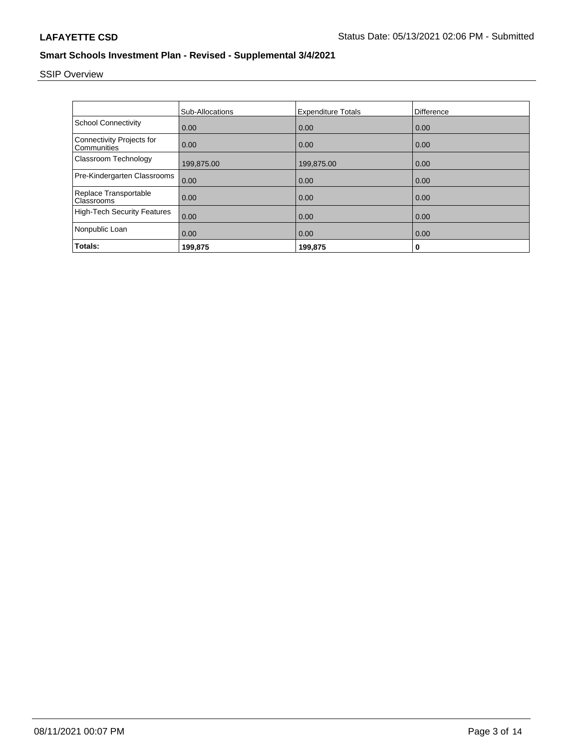# SSIP Overview

|                                                 | <b>Sub-Allocations</b> | <b>Expenditure Totals</b> | Difference |
|-------------------------------------------------|------------------------|---------------------------|------------|
| <b>School Connectivity</b>                      | 0.00                   | 0.00                      | 0.00       |
| <b>Connectivity Projects for</b><br>Communities | 0.00                   | 0.00                      | 0.00       |
| Classroom Technology                            | 199,875.00             | 199,875.00                | 0.00       |
| Pre-Kindergarten Classrooms                     | 0.00                   | 0.00                      | 0.00       |
| Replace Transportable<br>Classrooms             | 0.00                   | 0.00                      | 0.00       |
| <b>High-Tech Security Features</b>              | 0.00                   | 0.00                      | 0.00       |
| Nonpublic Loan                                  | 0.00                   | 0.00                      | 0.00       |
| Totals:                                         | 199,875                | 199,875                   | 0          |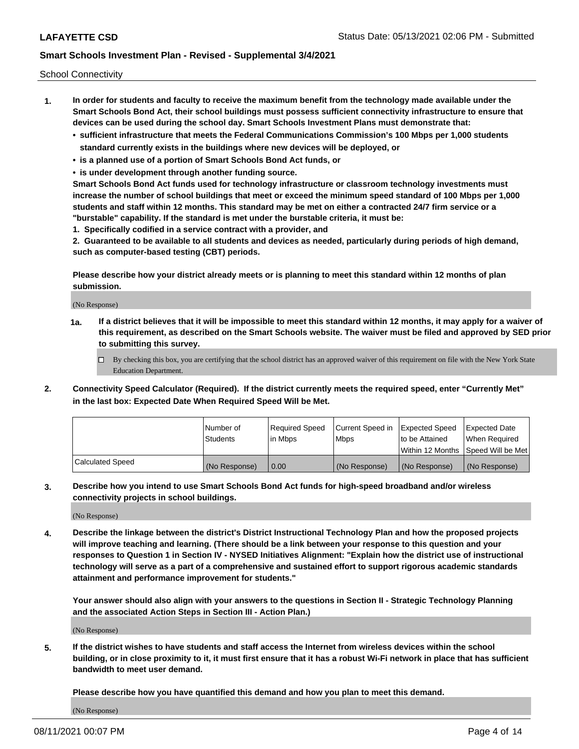School Connectivity

- **1. In order for students and faculty to receive the maximum benefit from the technology made available under the Smart Schools Bond Act, their school buildings must possess sufficient connectivity infrastructure to ensure that devices can be used during the school day. Smart Schools Investment Plans must demonstrate that:**
	- **• sufficient infrastructure that meets the Federal Communications Commission's 100 Mbps per 1,000 students standard currently exists in the buildings where new devices will be deployed, or**
	- **• is a planned use of a portion of Smart Schools Bond Act funds, or**
	- **• is under development through another funding source.**

**Smart Schools Bond Act funds used for technology infrastructure or classroom technology investments must increase the number of school buildings that meet or exceed the minimum speed standard of 100 Mbps per 1,000 students and staff within 12 months. This standard may be met on either a contracted 24/7 firm service or a "burstable" capability. If the standard is met under the burstable criteria, it must be:**

**1. Specifically codified in a service contract with a provider, and**

**2. Guaranteed to be available to all students and devices as needed, particularly during periods of high demand, such as computer-based testing (CBT) periods.**

**Please describe how your district already meets or is planning to meet this standard within 12 months of plan submission.**

(No Response)

**1a. If a district believes that it will be impossible to meet this standard within 12 months, it may apply for a waiver of this requirement, as described on the Smart Schools website. The waiver must be filed and approved by SED prior to submitting this survey.**

 $\Box$  By checking this box, you are certifying that the school district has an approved waiver of this requirement on file with the New York State Education Department.

**2. Connectivity Speed Calculator (Required). If the district currently meets the required speed, enter "Currently Met" in the last box: Expected Date When Required Speed Will be Met.**

|                  | l Number of     | Required Speed | Current Speed in | Expected Speed  | Expected Date                           |
|------------------|-----------------|----------------|------------------|-----------------|-----------------------------------------|
|                  | <b>Students</b> | In Mbps        | l Mbps           | to be Attained  | When Required                           |
|                  |                 |                |                  |                 | l Within 12 Months ISpeed Will be Met l |
| Calculated Speed | (No Response)   | 0.00           | (No Response)    | l (No Response) | l (No Response)                         |

**3. Describe how you intend to use Smart Schools Bond Act funds for high-speed broadband and/or wireless connectivity projects in school buildings.**

(No Response)

**4. Describe the linkage between the district's District Instructional Technology Plan and how the proposed projects will improve teaching and learning. (There should be a link between your response to this question and your responses to Question 1 in Section IV - NYSED Initiatives Alignment: "Explain how the district use of instructional technology will serve as a part of a comprehensive and sustained effort to support rigorous academic standards attainment and performance improvement for students."** 

**Your answer should also align with your answers to the questions in Section II - Strategic Technology Planning and the associated Action Steps in Section III - Action Plan.)**

(No Response)

**5. If the district wishes to have students and staff access the Internet from wireless devices within the school building, or in close proximity to it, it must first ensure that it has a robust Wi-Fi network in place that has sufficient bandwidth to meet user demand.**

**Please describe how you have quantified this demand and how you plan to meet this demand.**

(No Response)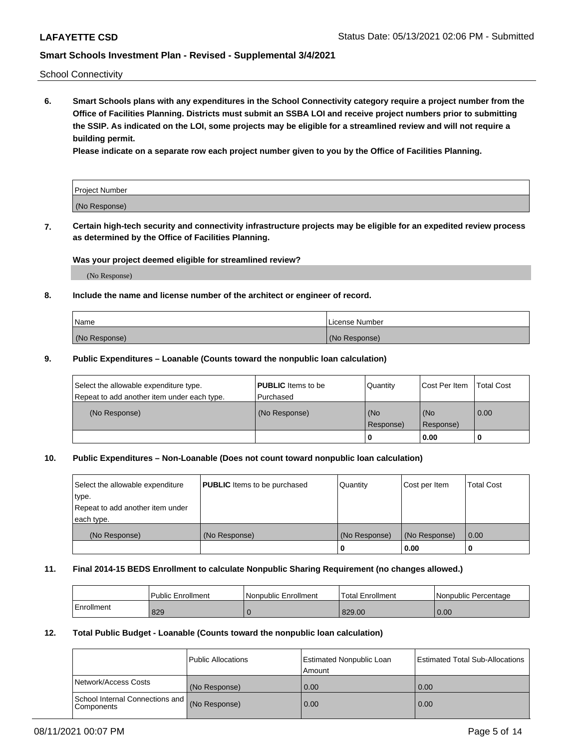School Connectivity

**6. Smart Schools plans with any expenditures in the School Connectivity category require a project number from the Office of Facilities Planning. Districts must submit an SSBA LOI and receive project numbers prior to submitting the SSIP. As indicated on the LOI, some projects may be eligible for a streamlined review and will not require a building permit.**

**Please indicate on a separate row each project number given to you by the Office of Facilities Planning.**

| Project Number |  |
|----------------|--|
| (No Response)  |  |

**7. Certain high-tech security and connectivity infrastructure projects may be eligible for an expedited review process as determined by the Office of Facilities Planning.**

### **Was your project deemed eligible for streamlined review?**

(No Response)

### **8. Include the name and license number of the architect or engineer of record.**

| Name          | License Number |
|---------------|----------------|
| (No Response) | (No Response)  |

### **9. Public Expenditures – Loanable (Counts toward the nonpublic loan calculation)**

| Select the allowable expenditure type.<br>Repeat to add another item under each type. | <b>PUBLIC</b> Items to be<br>l Purchased | Quantity           | Cost Per Item    | <b>Total Cost</b> |
|---------------------------------------------------------------------------------------|------------------------------------------|--------------------|------------------|-------------------|
| (No Response)                                                                         | (No Response)                            | l (No<br>Response) | (No<br>Response) | $\overline{0.00}$ |
|                                                                                       |                                          | O                  | 0.00             |                   |

### **10. Public Expenditures – Non-Loanable (Does not count toward nonpublic loan calculation)**

| Select the allowable expenditure<br>type.<br>Repeat to add another item under<br>each type. | <b>PUBLIC</b> Items to be purchased | Quantity      | Cost per Item | <b>Total Cost</b> |
|---------------------------------------------------------------------------------------------|-------------------------------------|---------------|---------------|-------------------|
| (No Response)                                                                               | (No Response)                       | (No Response) | (No Response) | 0.00              |
|                                                                                             |                                     |               | 0.00          |                   |

#### **11. Final 2014-15 BEDS Enrollment to calculate Nonpublic Sharing Requirement (no changes allowed.)**

|            | l Public Enrollment | Nonpublic Enrollment | Total Enrollment | l Nonpublic Percentage |
|------------|---------------------|----------------------|------------------|------------------------|
| Enrollment | 829                 |                      | 829.00           | 0.00                   |

### **12. Total Public Budget - Loanable (Counts toward the nonpublic loan calculation)**

|                                                      | Public Allocations | <b>Estimated Nonpublic Loan</b><br>Amount | Estimated Total Sub-Allocations |
|------------------------------------------------------|--------------------|-------------------------------------------|---------------------------------|
| Network/Access Costs                                 | (No Response)      | 0.00                                      | 0.00                            |
| School Internal Connections and<br><b>Components</b> | (No Response)      | 0.00                                      | 0.00                            |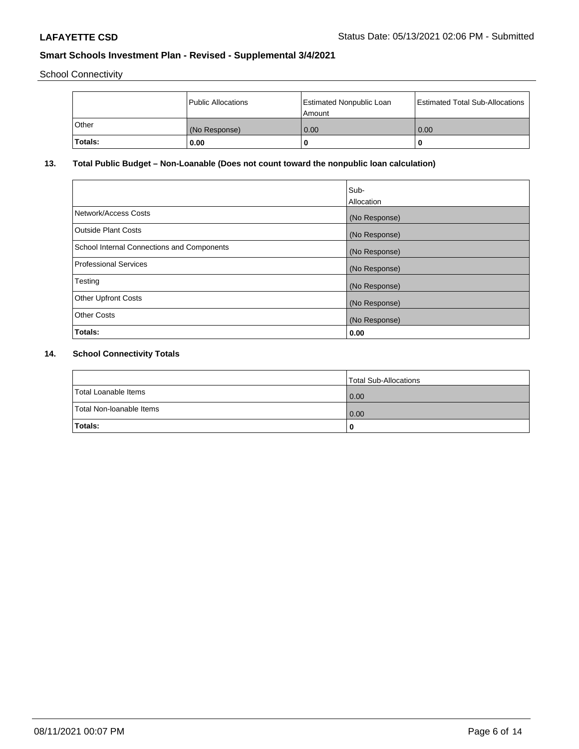School Connectivity

|         | Public Allocations | <b>Estimated Nonpublic Loan</b><br>l Amount | <b>Estimated Total Sub-Allocations</b> |
|---------|--------------------|---------------------------------------------|----------------------------------------|
| l Other | (No Response)      | 0.00                                        | 0.00                                   |
| Totals: | 0.00               | 0                                           |                                        |

## **13. Total Public Budget – Non-Loanable (Does not count toward the nonpublic loan calculation)**

| Sub-<br>Allocation |
|--------------------|
| (No Response)      |
| (No Response)      |
| (No Response)      |
| (No Response)      |
| (No Response)      |
| (No Response)      |
| (No Response)      |
| 0.00               |
|                    |

## **14. School Connectivity Totals**

|                          | Total Sub-Allocations |
|--------------------------|-----------------------|
| Total Loanable Items     | 0.00                  |
| Total Non-Ioanable Items | 0.00                  |
| Totals:                  |                       |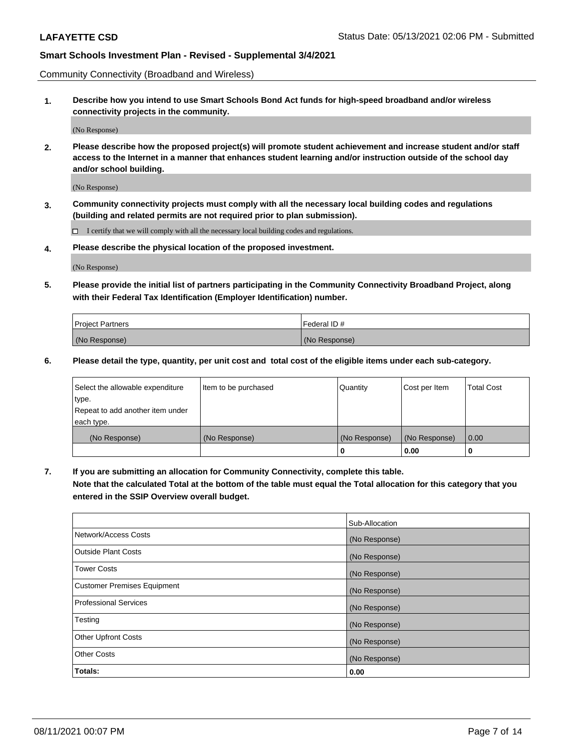Community Connectivity (Broadband and Wireless)

**1. Describe how you intend to use Smart Schools Bond Act funds for high-speed broadband and/or wireless connectivity projects in the community.**

(No Response)

**2. Please describe how the proposed project(s) will promote student achievement and increase student and/or staff access to the Internet in a manner that enhances student learning and/or instruction outside of the school day and/or school building.**

(No Response)

**3. Community connectivity projects must comply with all the necessary local building codes and regulations (building and related permits are not required prior to plan submission).**

 $\Box$  I certify that we will comply with all the necessary local building codes and regulations.

**4. Please describe the physical location of the proposed investment.**

(No Response)

**5. Please provide the initial list of partners participating in the Community Connectivity Broadband Project, along with their Federal Tax Identification (Employer Identification) number.**

| <b>Project Partners</b> | l Federal ID # |
|-------------------------|----------------|
| (No Response)           | (No Response)  |

**6. Please detail the type, quantity, per unit cost and total cost of the eligible items under each sub-category.**

| Select the allowable expenditure | Item to be purchased | Quantity      | Cost per Item | <b>Total Cost</b> |
|----------------------------------|----------------------|---------------|---------------|-------------------|
| type.                            |                      |               |               |                   |
| Repeat to add another item under |                      |               |               |                   |
| each type.                       |                      |               |               |                   |
| (No Response)                    | (No Response)        | (No Response) | (No Response) | 0.00              |
|                                  |                      | o             | 0.00          |                   |

**7. If you are submitting an allocation for Community Connectivity, complete this table.**

**Note that the calculated Total at the bottom of the table must equal the Total allocation for this category that you entered in the SSIP Overview overall budget.**

|                                    | Sub-Allocation |
|------------------------------------|----------------|
| Network/Access Costs               | (No Response)  |
| Outside Plant Costs                | (No Response)  |
| <b>Tower Costs</b>                 | (No Response)  |
| <b>Customer Premises Equipment</b> | (No Response)  |
| <b>Professional Services</b>       | (No Response)  |
| Testing                            | (No Response)  |
| <b>Other Upfront Costs</b>         | (No Response)  |
| <b>Other Costs</b>                 | (No Response)  |
| Totals:                            | 0.00           |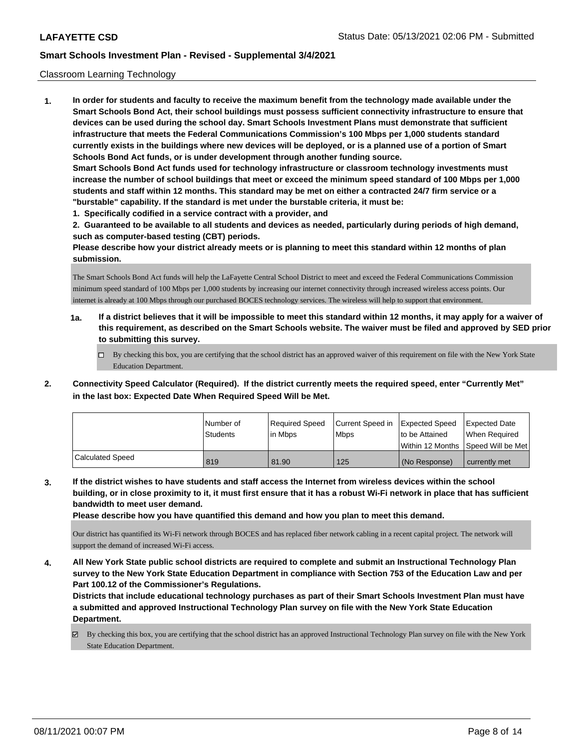### Classroom Learning Technology

**1. In order for students and faculty to receive the maximum benefit from the technology made available under the Smart Schools Bond Act, their school buildings must possess sufficient connectivity infrastructure to ensure that devices can be used during the school day. Smart Schools Investment Plans must demonstrate that sufficient infrastructure that meets the Federal Communications Commission's 100 Mbps per 1,000 students standard currently exists in the buildings where new devices will be deployed, or is a planned use of a portion of Smart Schools Bond Act funds, or is under development through another funding source. Smart Schools Bond Act funds used for technology infrastructure or classroom technology investments must increase the number of school buildings that meet or exceed the minimum speed standard of 100 Mbps per 1,000 students and staff within 12 months. This standard may be met on either a contracted 24/7 firm service or a "burstable" capability. If the standard is met under the burstable criteria, it must be: 1. Specifically codified in a service contract with a provider, and**

**2. Guaranteed to be available to all students and devices as needed, particularly during periods of high demand,**

**such as computer-based testing (CBT) periods.**

**Please describe how your district already meets or is planning to meet this standard within 12 months of plan submission.**

The Smart Schools Bond Act funds will help the LaFayette Central School District to meet and exceed the Federal Communications Commission minimum speed standard of 100 Mbps per 1,000 students by increasing our internet connectivity through increased wireless access points. Our internet is already at 100 Mbps through our purchased BOCES technology services. The wireless will help to support that environment.

- **1a. If a district believes that it will be impossible to meet this standard within 12 months, it may apply for a waiver of this requirement, as described on the Smart Schools website. The waiver must be filed and approved by SED prior to submitting this survey.**
	- By checking this box, you are certifying that the school district has an approved waiver of this requirement on file with the New York State Education Department.
- **2. Connectivity Speed Calculator (Required). If the district currently meets the required speed, enter "Currently Met" in the last box: Expected Date When Required Speed Will be Met.**

|                  | l Number of     | Required Speed | Current Speed in | Expected Speed     | <b>Expected Date</b> |
|------------------|-----------------|----------------|------------------|--------------------|----------------------|
|                  | <b>Students</b> | lin Mbps       | <b>Mbps</b>      | to be Attained     | When Reauired        |
|                  |                 |                |                  | l Within 12 Months | Speed Will be Met    |
| Calculated Speed | 819             | 81.90          | 125              | (No Response)      | currently met        |

**3. If the district wishes to have students and staff access the Internet from wireless devices within the school building, or in close proximity to it, it must first ensure that it has a robust Wi-Fi network in place that has sufficient bandwidth to meet user demand.**

**Please describe how you have quantified this demand and how you plan to meet this demand.**

Our district has quantified its Wi-Fi network through BOCES and has replaced fiber network cabling in a recent capital project. The network will support the demand of increased Wi-Fi access.

**4. All New York State public school districts are required to complete and submit an Instructional Technology Plan survey to the New York State Education Department in compliance with Section 753 of the Education Law and per Part 100.12 of the Commissioner's Regulations.**

**Districts that include educational technology purchases as part of their Smart Schools Investment Plan must have a submitted and approved Instructional Technology Plan survey on file with the New York State Education Department.**

By checking this box, you are certifying that the school district has an approved Instructional Technology Plan survey on file with the New York State Education Department.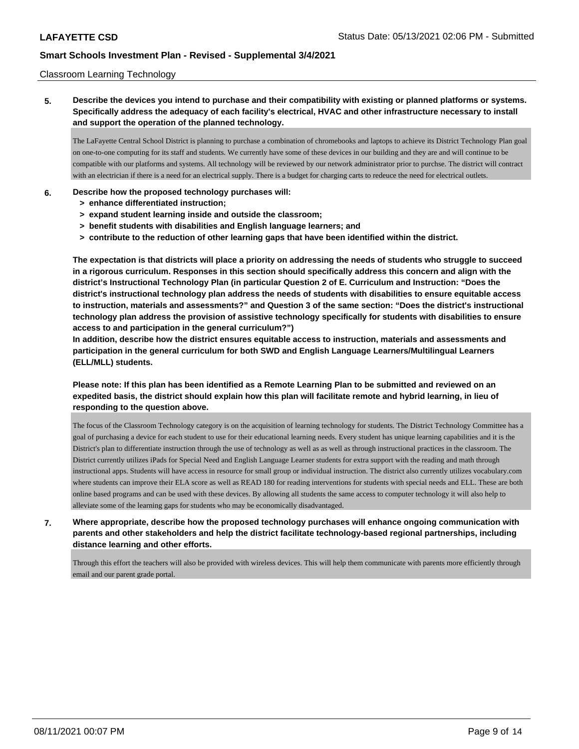### Classroom Learning Technology

**5. Describe the devices you intend to purchase and their compatibility with existing or planned platforms or systems. Specifically address the adequacy of each facility's electrical, HVAC and other infrastructure necessary to install and support the operation of the planned technology.**

The LaFayette Central School District is planning to purchase a combination of chromebooks and laptops to achieve its District Technology Plan goal on one-to-one computing for its staff and students. We currently have some of these devices in our building and they are and will continue to be compatible with our platforms and systems. All technology will be reviewed by our network administrator prior to purchse. The district will contract with an electrician if there is a need for an electrical supply. There is a budget for charging carts to redeuce the need for electrical outlets.

### **6. Describe how the proposed technology purchases will:**

- **> enhance differentiated instruction;**
- **> expand student learning inside and outside the classroom;**
- **> benefit students with disabilities and English language learners; and**
- **> contribute to the reduction of other learning gaps that have been identified within the district.**

**The expectation is that districts will place a priority on addressing the needs of students who struggle to succeed in a rigorous curriculum. Responses in this section should specifically address this concern and align with the district's Instructional Technology Plan (in particular Question 2 of E. Curriculum and Instruction: "Does the district's instructional technology plan address the needs of students with disabilities to ensure equitable access to instruction, materials and assessments?" and Question 3 of the same section: "Does the district's instructional technology plan address the provision of assistive technology specifically for students with disabilities to ensure access to and participation in the general curriculum?")**

**In addition, describe how the district ensures equitable access to instruction, materials and assessments and participation in the general curriculum for both SWD and English Language Learners/Multilingual Learners (ELL/MLL) students.**

**Please note: If this plan has been identified as a Remote Learning Plan to be submitted and reviewed on an expedited basis, the district should explain how this plan will facilitate remote and hybrid learning, in lieu of responding to the question above.**

The focus of the Classroom Technology category is on the acquisition of learning technology for students. The District Technology Committee has a goal of purchasing a device for each student to use for their educational learning needs. Every student has unique learning capabilities and it is the District's plan to differentiate instruction through the use of technology as well as as well as through instructional practices in the classroom. The District currently utilizes iPads for Special Need and English Language Learner students for extra support with the reading and math through instructional apps. Students will have access in resource for small group or individual instruction. The district also currently utilizes vocabulary.com where students can improve their ELA score as well as READ 180 for reading interventions for students with special needs and ELL. These are both online based programs and can be used with these devices. By allowing all students the same access to computer technology it will also help to alleviate some of the learning gaps for students who may be economically disadvantaged.

**7. Where appropriate, describe how the proposed technology purchases will enhance ongoing communication with parents and other stakeholders and help the district facilitate technology-based regional partnerships, including distance learning and other efforts.**

Through this effort the teachers will also be provided with wireless devices. This will help them communicate with parents more efficiently through email and our parent grade portal.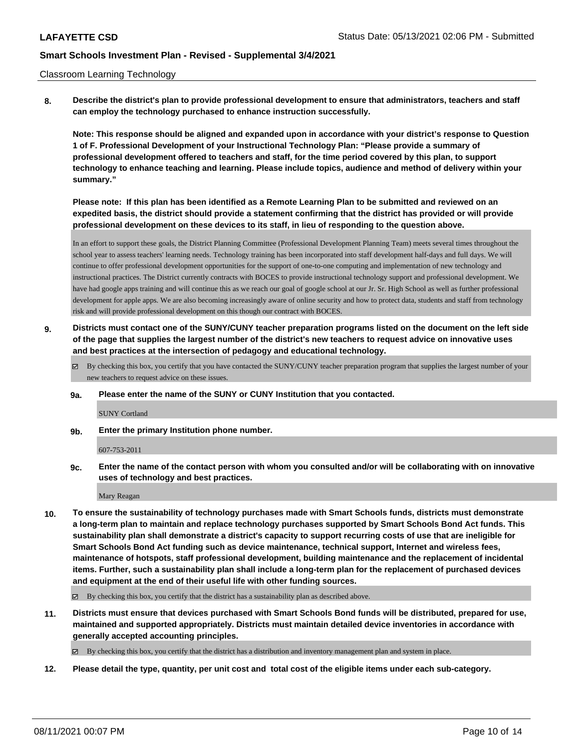#### Classroom Learning Technology

**8. Describe the district's plan to provide professional development to ensure that administrators, teachers and staff can employ the technology purchased to enhance instruction successfully.**

**Note: This response should be aligned and expanded upon in accordance with your district's response to Question 1 of F. Professional Development of your Instructional Technology Plan: "Please provide a summary of professional development offered to teachers and staff, for the time period covered by this plan, to support technology to enhance teaching and learning. Please include topics, audience and method of delivery within your summary."**

**Please note: If this plan has been identified as a Remote Learning Plan to be submitted and reviewed on an expedited basis, the district should provide a statement confirming that the district has provided or will provide professional development on these devices to its staff, in lieu of responding to the question above.**

In an effort to support these goals, the District Planning Committee (Professional Development Planning Team) meets several times throughout the school year to assess teachers' learning needs. Technology training has been incorporated into staff development half-days and full days. We will continue to offer professional development opportunities for the support of one-to-one computing and implementation of new technology and instructional practices. The District currently contracts with BOCES to provide instructional technology support and professional development. We have had google apps training and will continue this as we reach our goal of google school at our Jr. Sr. High School as well as further professional development for apple apps. We are also becoming increasingly aware of online security and how to protect data, students and staff from technology risk and will provide professional development on this though our contract with BOCES.

- **9. Districts must contact one of the SUNY/CUNY teacher preparation programs listed on the document on the left side of the page that supplies the largest number of the district's new teachers to request advice on innovative uses and best practices at the intersection of pedagogy and educational technology.**
	- By checking this box, you certify that you have contacted the SUNY/CUNY teacher preparation program that supplies the largest number of your new teachers to request advice on these issues.
	- **9a. Please enter the name of the SUNY or CUNY Institution that you contacted.**

SUNY Cortland

**9b. Enter the primary Institution phone number.**

607-753-2011

**9c. Enter the name of the contact person with whom you consulted and/or will be collaborating with on innovative uses of technology and best practices.**

Mary Reagan

**10. To ensure the sustainability of technology purchases made with Smart Schools funds, districts must demonstrate a long-term plan to maintain and replace technology purchases supported by Smart Schools Bond Act funds. This sustainability plan shall demonstrate a district's capacity to support recurring costs of use that are ineligible for Smart Schools Bond Act funding such as device maintenance, technical support, Internet and wireless fees, maintenance of hotspots, staff professional development, building maintenance and the replacement of incidental items. Further, such a sustainability plan shall include a long-term plan for the replacement of purchased devices and equipment at the end of their useful life with other funding sources.**

 $\boxtimes$  By checking this box, you certify that the district has a sustainability plan as described above.

**11. Districts must ensure that devices purchased with Smart Schools Bond funds will be distributed, prepared for use, maintained and supported appropriately. Districts must maintain detailed device inventories in accordance with generally accepted accounting principles.**

 $\boxtimes$  By checking this box, you certify that the district has a distribution and inventory management plan and system in place.

**12. Please detail the type, quantity, per unit cost and total cost of the eligible items under each sub-category.**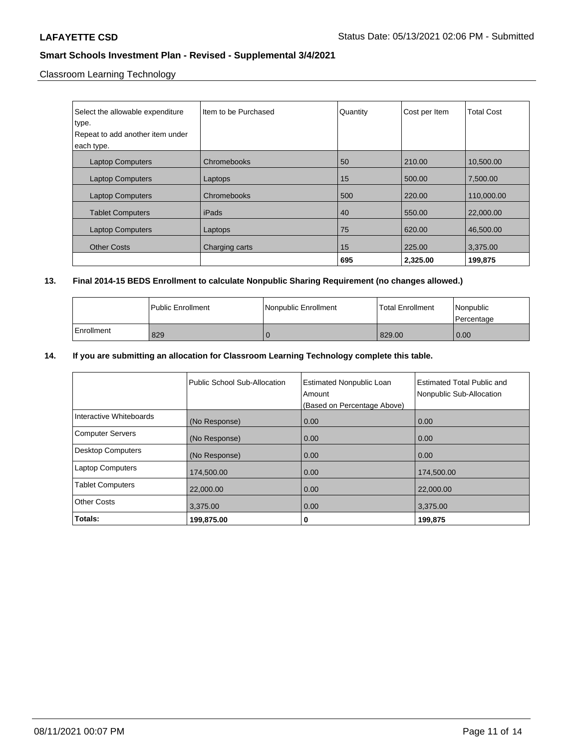Classroom Learning Technology

| Select the allowable expenditure | Item to be Purchased | Quantity | Cost per Item | <b>Total Cost</b> |
|----------------------------------|----------------------|----------|---------------|-------------------|
| type.                            |                      |          |               |                   |
| Repeat to add another item under |                      |          |               |                   |
| each type.                       |                      |          |               |                   |
| <b>Laptop Computers</b>          | Chromebooks          | 50       | 210.00        | 10,500.00         |
| <b>Laptop Computers</b>          | Laptops              | 15       | 500.00        | 7.500.00          |
| <b>Laptop Computers</b>          | Chromebooks          | 500      | 220.00        | 110,000.00        |
| <b>Tablet Computers</b>          | iPads                | 40       | 550.00        | 22,000.00         |
| <b>Laptop Computers</b>          | Laptops              | 75       | 620.00        | 46,500.00         |
| <b>Other Costs</b>               | Charging carts       | 15       | 225.00        | 3,375.00          |
|                                  |                      | 695      | 2,325.00      | 199,875           |

## **13. Final 2014-15 BEDS Enrollment to calculate Nonpublic Sharing Requirement (no changes allowed.)**

|            | l Public Enrollment | Nonpublic Enrollment | <b>Total Enrollment</b> | l Nonpublic<br>l Percentage |
|------------|---------------------|----------------------|-------------------------|-----------------------------|
| Enrollment | 829                 |                      | 829.00                  | 0.00                        |

### **14. If you are submitting an allocation for Classroom Learning Technology complete this table.**

|                          | Public School Sub-Allocation | <b>Estimated Nonpublic Loan</b><br>Amount<br>(Based on Percentage Above) | <b>Estimated Total Public and</b><br>Nonpublic Sub-Allocation |
|--------------------------|------------------------------|--------------------------------------------------------------------------|---------------------------------------------------------------|
| Interactive Whiteboards  | (No Response)                | 0.00                                                                     | 0.00                                                          |
| <b>Computer Servers</b>  | (No Response)                | 0.00                                                                     | 0.00                                                          |
| <b>Desktop Computers</b> | (No Response)                | 0.00                                                                     | 0.00                                                          |
| <b>Laptop Computers</b>  | 174,500.00                   | 0.00                                                                     | 174,500.00                                                    |
| <b>Tablet Computers</b>  | 22,000.00                    | 0.00                                                                     | 22,000.00                                                     |
| <b>Other Costs</b>       | 3,375.00                     | 0.00                                                                     | 3,375.00                                                      |
| Totals:                  | 199,875.00                   | 0                                                                        | 199,875                                                       |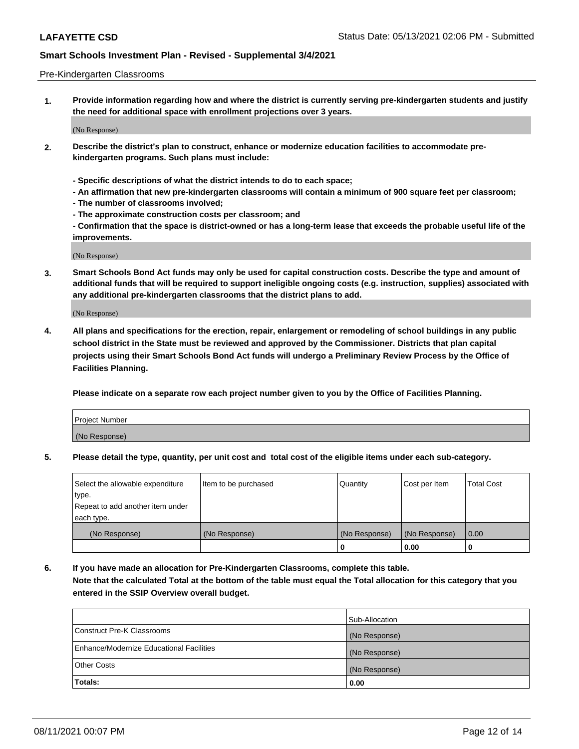#### Pre-Kindergarten Classrooms

**1. Provide information regarding how and where the district is currently serving pre-kindergarten students and justify the need for additional space with enrollment projections over 3 years.**

(No Response)

- **2. Describe the district's plan to construct, enhance or modernize education facilities to accommodate prekindergarten programs. Such plans must include:**
	- **Specific descriptions of what the district intends to do to each space;**
	- **An affirmation that new pre-kindergarten classrooms will contain a minimum of 900 square feet per classroom;**
	- **The number of classrooms involved;**
	- **The approximate construction costs per classroom; and**
	- **Confirmation that the space is district-owned or has a long-term lease that exceeds the probable useful life of the improvements.**

(No Response)

**3. Smart Schools Bond Act funds may only be used for capital construction costs. Describe the type and amount of additional funds that will be required to support ineligible ongoing costs (e.g. instruction, supplies) associated with any additional pre-kindergarten classrooms that the district plans to add.**

(No Response)

**4. All plans and specifications for the erection, repair, enlargement or remodeling of school buildings in any public school district in the State must be reviewed and approved by the Commissioner. Districts that plan capital projects using their Smart Schools Bond Act funds will undergo a Preliminary Review Process by the Office of Facilities Planning.**

**Please indicate on a separate row each project number given to you by the Office of Facilities Planning.**

| Project Number |  |
|----------------|--|
| (No Response)  |  |
|                |  |

**5. Please detail the type, quantity, per unit cost and total cost of the eligible items under each sub-category.**

| Select the allowable expenditure | Item to be purchased | Quantity      | Cost per Item | <b>Total Cost</b> |
|----------------------------------|----------------------|---------------|---------------|-------------------|
| type.                            |                      |               |               |                   |
| Repeat to add another item under |                      |               |               |                   |
| each type.                       |                      |               |               |                   |
| (No Response)                    | (No Response)        | (No Response) | (No Response) | 0.00              |
|                                  |                      | U             | 0.00          |                   |

**6. If you have made an allocation for Pre-Kindergarten Classrooms, complete this table. Note that the calculated Total at the bottom of the table must equal the Total allocation for this category that you entered in the SSIP Overview overall budget.**

|                                          | Sub-Allocation |
|------------------------------------------|----------------|
| Construct Pre-K Classrooms               | (No Response)  |
| Enhance/Modernize Educational Facilities | (No Response)  |
| <b>Other Costs</b>                       | (No Response)  |
| Totals:                                  | 0.00           |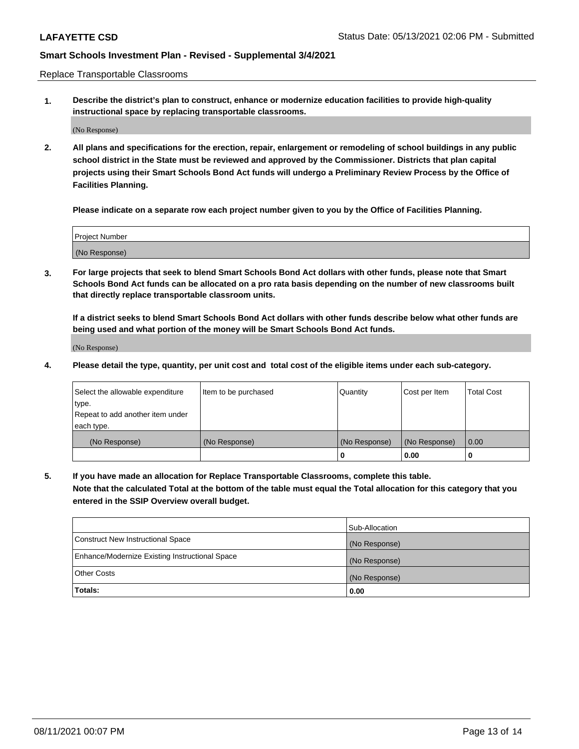Replace Transportable Classrooms

**1. Describe the district's plan to construct, enhance or modernize education facilities to provide high-quality instructional space by replacing transportable classrooms.**

(No Response)

**2. All plans and specifications for the erection, repair, enlargement or remodeling of school buildings in any public school district in the State must be reviewed and approved by the Commissioner. Districts that plan capital projects using their Smart Schools Bond Act funds will undergo a Preliminary Review Process by the Office of Facilities Planning.**

**Please indicate on a separate row each project number given to you by the Office of Facilities Planning.**

| Project Number |  |
|----------------|--|
|                |  |
|                |  |
|                |  |
| (No Response)  |  |
|                |  |
|                |  |

**3. For large projects that seek to blend Smart Schools Bond Act dollars with other funds, please note that Smart Schools Bond Act funds can be allocated on a pro rata basis depending on the number of new classrooms built that directly replace transportable classroom units.**

**If a district seeks to blend Smart Schools Bond Act dollars with other funds describe below what other funds are being used and what portion of the money will be Smart Schools Bond Act funds.**

(No Response)

**4. Please detail the type, quantity, per unit cost and total cost of the eligible items under each sub-category.**

| Select the allowable expenditure | Item to be purchased | Quantity      | Cost per Item | Total Cost |
|----------------------------------|----------------------|---------------|---------------|------------|
| ∣type.                           |                      |               |               |            |
| Repeat to add another item under |                      |               |               |            |
| each type.                       |                      |               |               |            |
| (No Response)                    | (No Response)        | (No Response) | (No Response) | 0.00       |
|                                  |                      | u             | 0.00          |            |

**5. If you have made an allocation for Replace Transportable Classrooms, complete this table. Note that the calculated Total at the bottom of the table must equal the Total allocation for this category that you entered in the SSIP Overview overall budget.**

|                                                | Sub-Allocation |
|------------------------------------------------|----------------|
| Construct New Instructional Space              | (No Response)  |
| Enhance/Modernize Existing Instructional Space | (No Response)  |
| Other Costs                                    | (No Response)  |
| Totals:                                        | 0.00           |